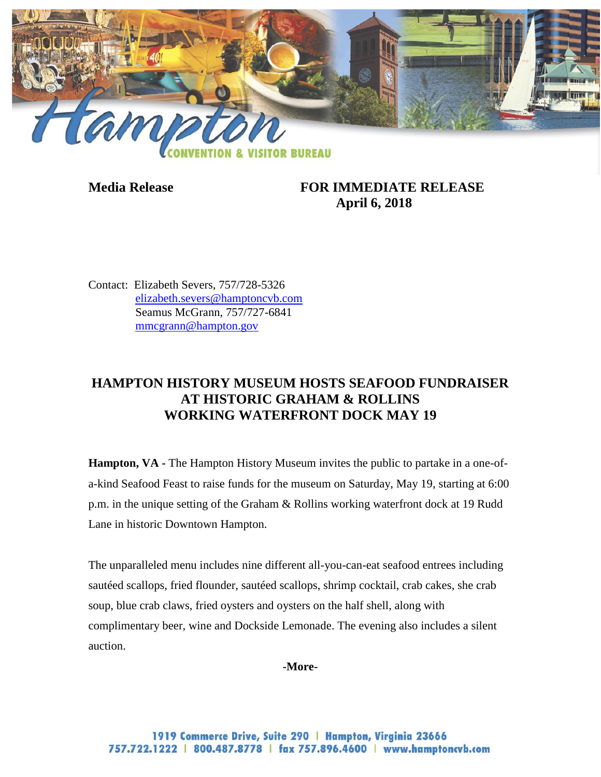

## **Media Release FOR IMMEDIATE RELEASE April 6, 2018**

Contact: Elizabeth Severs, 757/728-5326 [elizabeth.severs@hamptoncvb.com](mailto:elizabeth.severs@hamptoncvb.com) Seamus McGrann, 757/727-6841 [mmcgrann@hampton.gov](mailto:mmcgrann@hampton.gov)

## **HAMPTON HISTORY MUSEUM HOSTS SEAFOOD FUNDRAISER AT HISTORIC GRAHAM & ROLLINS WORKING WATERFRONT DOCK MAY 19**

**Hampton, VA -** The Hampton History Museum invites the public to partake in a one-ofa-kind Seafood Feast to raise funds for the museum on Saturday, May 19, starting at 6:00 p.m. in the unique setting of the Graham & Rollins working waterfront dock at 19 Rudd Lane in historic Downtown Hampton.

The unparalleled menu includes nine different all-you-can-eat seafood entrees including sautéed scallops, fried flounder, sautéed scallops, shrimp cocktail, crab cakes, she crab soup, blue crab claws, fried oysters and oysters on the half shell, along with complimentary beer, wine and Dockside Lemonade. The evening also includes a silent auction.

**-More-**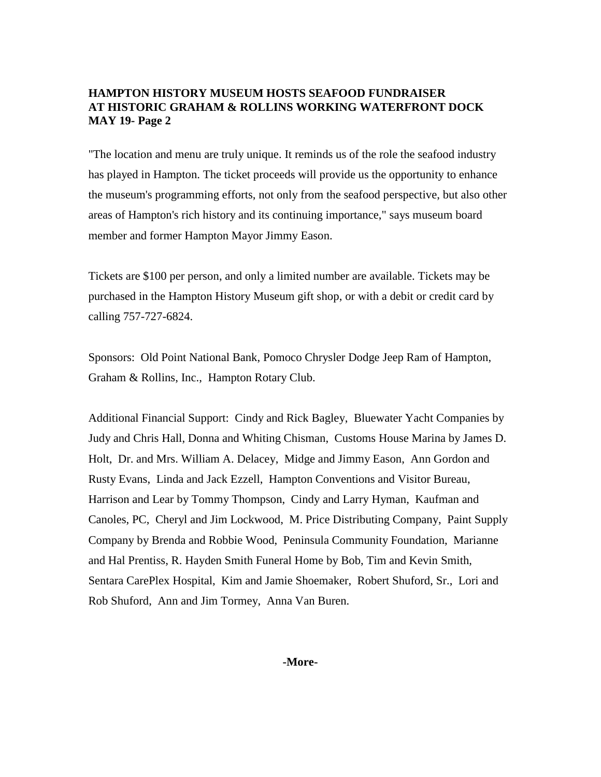## **HAMPTON HISTORY MUSEUM HOSTS SEAFOOD FUNDRAISER AT HISTORIC GRAHAM & ROLLINS WORKING WATERFRONT DOCK MAY 19- Page 2**

"The location and menu are truly unique. It reminds us of the role the seafood industry has played in Hampton. The ticket proceeds will provide us the opportunity to enhance the museum's programming efforts, not only from the seafood perspective, but also other areas of Hampton's rich history and its continuing importance," says museum board member and former Hampton Mayor Jimmy Eason.

Tickets are \$100 per person, and only a limited number are available. Tickets may be purchased in the Hampton History Museum gift shop, or with a debit or credit card by calling 757-727-6824.

Sponsors: Old Point National Bank, Pomoco Chrysler Dodge Jeep Ram of Hampton, Graham & Rollins, Inc., Hampton Rotary Club.

Additional Financial Support: Cindy and Rick Bagley, Bluewater Yacht Companies by Judy and Chris Hall, Donna and Whiting Chisman, Customs House Marina by James D. Holt, Dr. and Mrs. William A. Delacey, Midge and Jimmy Eason, Ann Gordon and Rusty Evans, Linda and Jack Ezzell, Hampton Conventions and Visitor Bureau, Harrison and Lear by Tommy Thompson, Cindy and Larry Hyman, Kaufman and Canoles, PC, Cheryl and Jim Lockwood, M. Price Distributing Company, Paint Supply Company by Brenda and Robbie Wood, Peninsula Community Foundation, Marianne and Hal Prentiss, R. Hayden Smith Funeral Home by Bob, Tim and Kevin Smith, Sentara CarePlex Hospital, Kim and Jamie Shoemaker, Robert Shuford, Sr., Lori and Rob Shuford, Ann and Jim Tormey, Anna Van Buren.